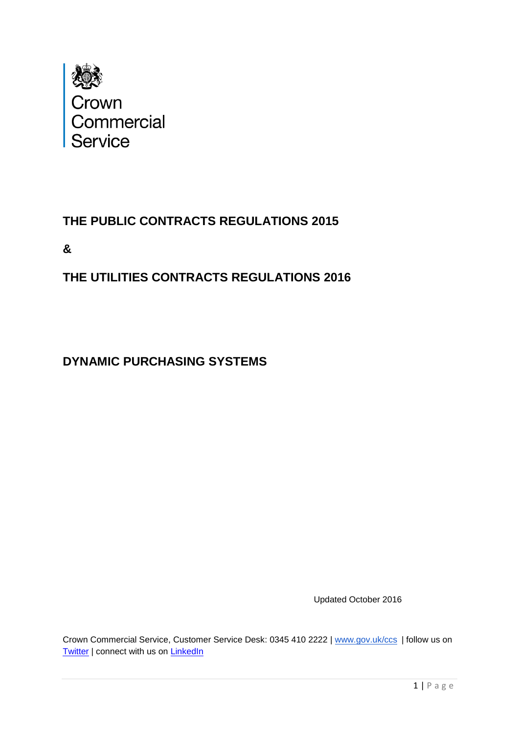

# **THE PUBLIC CONTRACTS REGULATIONS 2015**

**&**

# **THE UTILITIES CONTRACTS REGULATIONS 2016**

# **DYNAMIC PURCHASING SYSTEMS**

Updated October 2016

Crown Commercial Service, Customer Service Desk: 0345 410 2222 | [www.gov.uk/ccs](http://ccs.cabinetoffice.gov.uk/) | follow us on [Twitter](https://twitter.com/gov_procurement) | connect with us on [LinkedIn](http://www.linkedin.com/company/government-procurement-service?trk=cp_followed_logo_government-procurement-service)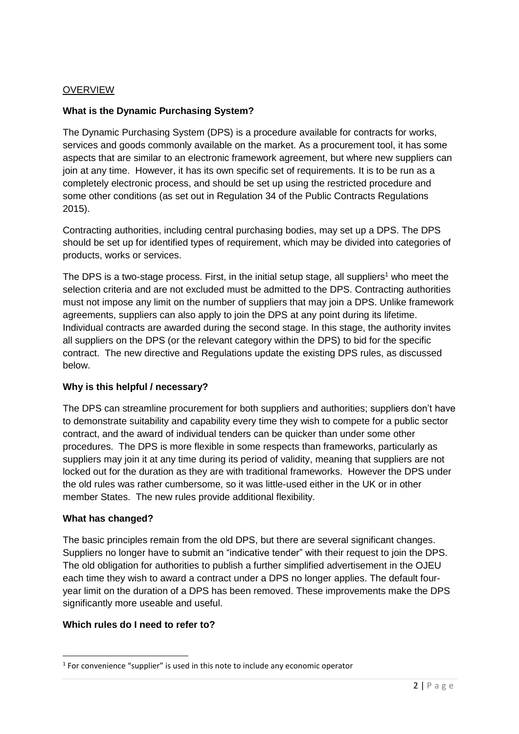## **OVERVIEW**

#### **What is the Dynamic Purchasing System?**

The Dynamic Purchasing System (DPS) is a procedure available for contracts for works, services and goods commonly available on the market. As a procurement tool, it has some aspects that are similar to an electronic framework agreement, but where new suppliers can join at any time. However, it has its own specific set of requirements. It is to be run as a completely electronic process, and should be set up using the restricted procedure and some other conditions (as set out in Regulation 34 of the Public Contracts Regulations 2015).

Contracting authorities, including central purchasing bodies, may set up a DPS. The DPS should be set up for identified types of requirement, which may be divided into categories of products, works or services.

The DPS is a two-stage process. First, in the initial setup stage, all suppliers<sup>1</sup> who meet the selection criteria and are not excluded must be admitted to the DPS. Contracting authorities must not impose any limit on the number of suppliers that may join a DPS. Unlike framework agreements, suppliers can also apply to join the DPS at any point during its lifetime. Individual contracts are awarded during the second stage. In this stage, the authority invites all suppliers on the DPS (or the relevant category within the DPS) to bid for the specific contract. The new directive and Regulations update the existing DPS rules, as discussed below.

#### **Why is this helpful / necessary?**

The DPS can streamline procurement for both suppliers and authorities; suppliers don't have to demonstrate suitability and capability every time they wish to compete for a public sector contract, and the award of individual tenders can be quicker than under some other procedures. The DPS is more flexible in some respects than frameworks, particularly as suppliers may join it at any time during its period of validity, meaning that suppliers are not locked out for the duration as they are with traditional frameworks. However the DPS under the old rules was rather cumbersome, so it was little-used either in the UK or in other member States. The new rules provide additional flexibility.

#### **What has changed?**

**.** 

The basic principles remain from the old DPS, but there are several significant changes. Suppliers no longer have to submit an "indicative tender" with their request to join the DPS. The old obligation for authorities to publish a further simplified advertisement in the OJEU each time they wish to award a contract under a DPS no longer applies. The default fouryear limit on the duration of a DPS has been removed. These improvements make the DPS significantly more useable and useful.

#### **Which rules do I need to refer to?**

 $<sup>1</sup>$  For convenience "supplier" is used in this note to include any economic operator</sup>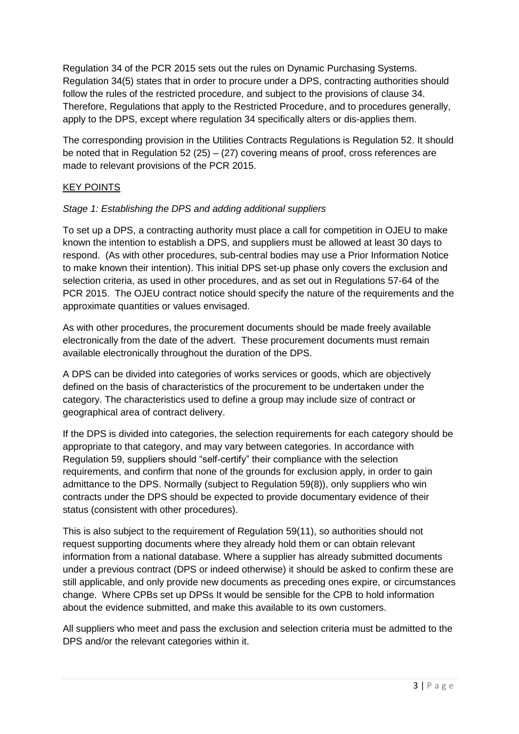Regulation 34 of the PCR 2015 sets out the rules on Dynamic Purchasing Systems. Regulation 34(5) states that in order to procure under a DPS, contracting authorities should follow the rules of the restricted procedure, and subject to the provisions of clause 34. Therefore, Regulations that apply to the Restricted Procedure, and to procedures generally, apply to the DPS, except where regulation 34 specifically alters or dis-applies them.

The corresponding provision in the Utilities Contracts Regulations is Regulation 52. It should be noted that in Regulation 52 (25) – (27) covering means of proof, cross references are made to relevant provisions of the PCR 2015.

# KEY POINTS

## *Stage 1: Establishing the DPS and adding additional suppliers*

To set up a DPS, a contracting authority must place a call for competition in OJEU to make known the intention to establish a DPS, and suppliers must be allowed at least 30 days to respond. (As with other procedures, sub-central bodies may use a Prior Information Notice to make known their intention). This initial DPS set-up phase only covers the exclusion and selection criteria, as used in other procedures, and as set out in Regulations 57-64 of the PCR 2015. The OJEU contract notice should specify the nature of the requirements and the approximate quantities or values envisaged.

As with other procedures, the procurement documents should be made freely available electronically from the date of the advert. These procurement documents must remain available electronically throughout the duration of the DPS.

A DPS can be divided into categories of works services or goods, which are objectively defined on the basis of characteristics of the procurement to be undertaken under the category. The characteristics used to define a group may include size of contract or geographical area of contract delivery.

If the DPS is divided into categories, the selection requirements for each category should be appropriate to that category, and may vary between categories. In accordance with Regulation 59, suppliers should "self-certify" their compliance with the selection requirements, and confirm that none of the grounds for exclusion apply, in order to gain admittance to the DPS. Normally (subject to Regulation 59(8)), only suppliers who win contracts under the DPS should be expected to provide documentary evidence of their status (consistent with other procedures).

This is also subject to the requirement of Regulation 59(11), so authorities should not request supporting documents where they already hold them or can obtain relevant information from a national database. Where a supplier has already submitted documents under a previous contract (DPS or indeed otherwise) it should be asked to confirm these are still applicable, and only provide new documents as preceding ones expire, or circumstances change. Where CPBs set up DPSs It would be sensible for the CPB to hold information about the evidence submitted, and make this available to its own customers.

All suppliers who meet and pass the exclusion and selection criteria must be admitted to the DPS and/or the relevant categories within it.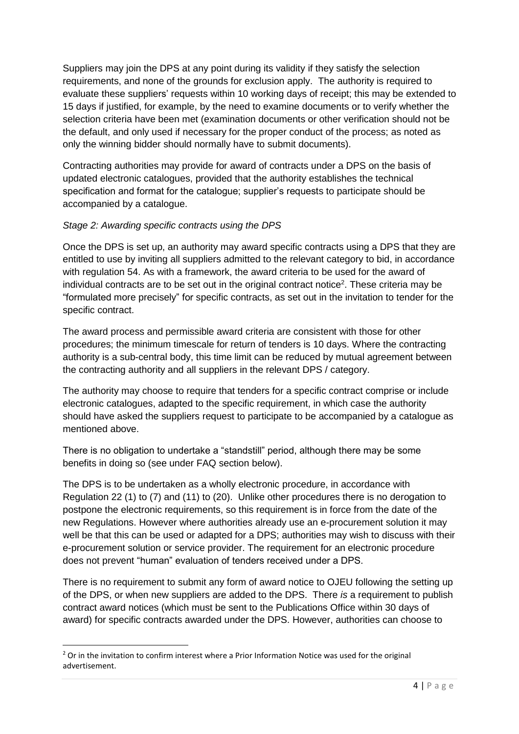Suppliers may join the DPS at any point during its validity if they satisfy the selection requirements, and none of the grounds for exclusion apply. The authority is required to evaluate these suppliers' requests within 10 working days of receipt; this may be extended to 15 days if justified, for example, by the need to examine documents or to verify whether the selection criteria have been met (examination documents or other verification should not be the default, and only used if necessary for the proper conduct of the process; as noted as only the winning bidder should normally have to submit documents).

Contracting authorities may provide for award of contracts under a DPS on the basis of updated electronic catalogues, provided that the authority establishes the technical specification and format for the catalogue; supplier's requests to participate should be accompanied by a catalogue.

## *Stage 2: Awarding specific contracts using the DPS*

Once the DPS is set up, an authority may award specific contracts using a DPS that they are entitled to use by inviting all suppliers admitted to the relevant category to bid, in accordance with regulation 54. As with a framework, the award criteria to be used for the award of individual contracts are to be set out in the original contract notice<sup>2</sup>. These criteria may be "formulated more precisely" for specific contracts, as set out in the invitation to tender for the specific contract.

The award process and permissible award criteria are consistent with those for other procedures; the minimum timescale for return of tenders is 10 days. Where the contracting authority is a sub-central body, this time limit can be reduced by mutual agreement between the contracting authority and all suppliers in the relevant DPS / category.

The authority may choose to require that tenders for a specific contract comprise or include electronic catalogues, adapted to the specific requirement, in which case the authority should have asked the suppliers request to participate to be accompanied by a catalogue as mentioned above.

There is no obligation to undertake a "standstill" period, although there may be some benefits in doing so (see under FAQ section below).

The DPS is to be undertaken as a wholly electronic procedure, in accordance with Regulation 22 (1) to (7) and (11) to (20). Unlike other procedures there is no derogation to postpone the electronic requirements, so this requirement is in force from the date of the new Regulations. However where authorities already use an e-procurement solution it may well be that this can be used or adapted for a DPS; authorities may wish to discuss with their e-procurement solution or service provider. The requirement for an electronic procedure does not prevent "human" evaluation of tenders received under a DPS.

There is no requirement to submit any form of award notice to OJEU following the setting up of the DPS, or when new suppliers are added to the DPS. There *is* a requirement to publish contract award notices (which must be sent to the Publications Office within 30 days of award) for specific contracts awarded under the DPS. However, authorities can choose to

**<sup>.</sup>** <sup>2</sup> Or in the invitation to confirm interest where a Prior Information Notice was used for the original advertisement.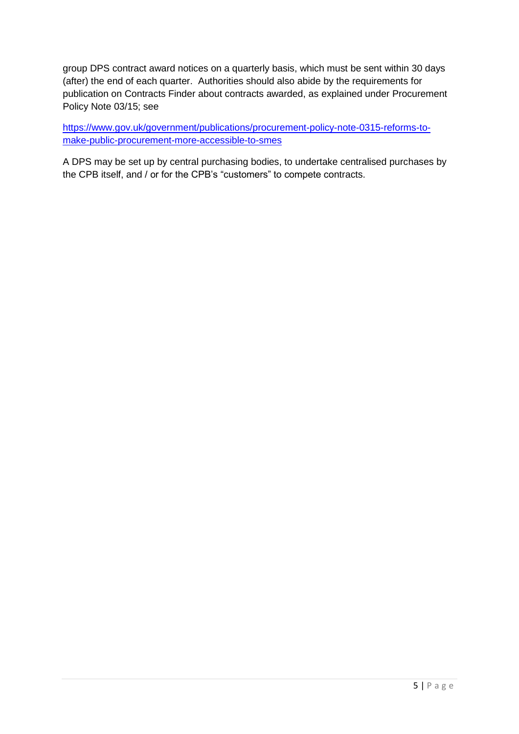group DPS contract award notices on a quarterly basis, which must be sent within 30 days (after) the end of each quarter. Authorities should also abide by the requirements for publication on Contracts Finder about contracts awarded, as explained under Procurement Policy Note 03/15; see

[https://www.gov.uk/government/publications/procurement-policy-note-0315-reforms-to](https://www.gov.uk/government/publications/procurement-policy-note-0315-reforms-to-make-public-procurement-more-accessible-to-smes)[make-public-procurement-more-accessible-to-smes](https://www.gov.uk/government/publications/procurement-policy-note-0315-reforms-to-make-public-procurement-more-accessible-to-smes)

A DPS may be set up by central purchasing bodies, to undertake centralised purchases by the CPB itself, and / or for the CPB's "customers" to compete contracts.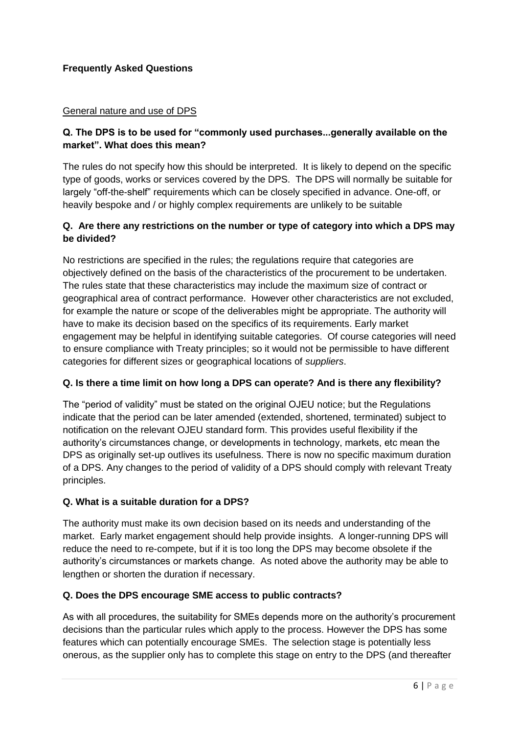# **Frequently Asked Questions**

#### General nature and use of DPS

#### **Q. The DPS is to be used for "commonly used purchases...generally available on the market". What does this mean?**

The rules do not specify how this should be interpreted. It is likely to depend on the specific type of goods, works or services covered by the DPS. The DPS will normally be suitable for largely "off-the-shelf" requirements which can be closely specified in advance. One-off, or heavily bespoke and / or highly complex requirements are unlikely to be suitable

#### **Q. Are there any restrictions on the number or type of category into which a DPS may be divided?**

No restrictions are specified in the rules; the regulations require that categories are objectively defined on the basis of the characteristics of the procurement to be undertaken. The rules state that these characteristics may include the maximum size of contract or geographical area of contract performance. However other characteristics are not excluded, for example the nature or scope of the deliverables might be appropriate. The authority will have to make its decision based on the specifics of its requirements. Early market engagement may be helpful in identifying suitable categories. Of course categories will need to ensure compliance with Treaty principles; so it would not be permissible to have different categories for different sizes or geographical locations of *suppliers*.

#### **Q. Is there a time limit on how long a DPS can operate? And is there any flexibility?**

The "period of validity" must be stated on the original OJEU notice; but the Regulations indicate that the period can be later amended (extended, shortened, terminated) subject to notification on the relevant OJEU standard form. This provides useful flexibility if the authority's circumstances change, or developments in technology, markets, etc mean the DPS as originally set-up outlives its usefulness. There is now no specific maximum duration of a DPS. Any changes to the period of validity of a DPS should comply with relevant Treaty principles.

## **Q. What is a suitable duration for a DPS?**

The authority must make its own decision based on its needs and understanding of the market. Early market engagement should help provide insights. A longer-running DPS will reduce the need to re-compete, but if it is too long the DPS may become obsolete if the authority's circumstances or markets change. As noted above the authority may be able to lengthen or shorten the duration if necessary.

## **Q. Does the DPS encourage SME access to public contracts?**

As with all procedures, the suitability for SMEs depends more on the authority's procurement decisions than the particular rules which apply to the process. However the DPS has some features which can potentially encourage SMEs. The selection stage is potentially less onerous, as the supplier only has to complete this stage on entry to the DPS (and thereafter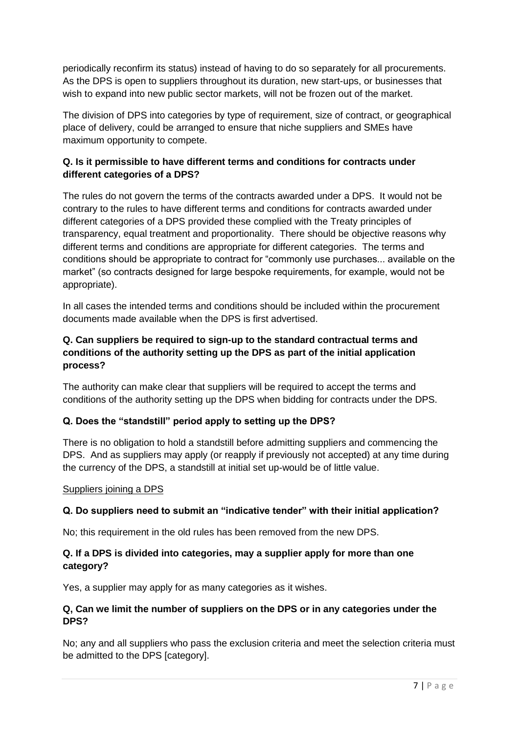periodically reconfirm its status) instead of having to do so separately for all procurements. As the DPS is open to suppliers throughout its duration, new start-ups, or businesses that wish to expand into new public sector markets, will not be frozen out of the market.

The division of DPS into categories by type of requirement, size of contract, or geographical place of delivery, could be arranged to ensure that niche suppliers and SMEs have maximum opportunity to compete.

## **Q. Is it permissible to have different terms and conditions for contracts under different categories of a DPS?**

The rules do not govern the terms of the contracts awarded under a DPS. It would not be contrary to the rules to have different terms and conditions for contracts awarded under different categories of a DPS provided these complied with the Treaty principles of transparency, equal treatment and proportionality. There should be objective reasons why different terms and conditions are appropriate for different categories. The terms and conditions should be appropriate to contract for "commonly use purchases... available on the market" (so contracts designed for large bespoke requirements, for example, would not be appropriate).

In all cases the intended terms and conditions should be included within the procurement documents made available when the DPS is first advertised.

## **Q. Can suppliers be required to sign-up to the standard contractual terms and conditions of the authority setting up the DPS as part of the initial application process?**

The authority can make clear that suppliers will be required to accept the terms and conditions of the authority setting up the DPS when bidding for contracts under the DPS.

# **Q. Does the "standstill" period apply to setting up the DPS?**

There is no obligation to hold a standstill before admitting suppliers and commencing the DPS. And as suppliers may apply (or reapply if previously not accepted) at any time during the currency of the DPS, a standstill at initial set up-would be of little value.

#### Suppliers joining a DPS

## **Q. Do suppliers need to submit an "indicative tender" with their initial application?**

No; this requirement in the old rules has been removed from the new DPS.

## **Q. If a DPS is divided into categories, may a supplier apply for more than one category?**

Yes, a supplier may apply for as many categories as it wishes.

## **Q, Can we limit the number of suppliers on the DPS or in any categories under the DPS?**

No; any and all suppliers who pass the exclusion criteria and meet the selection criteria must be admitted to the DPS [category].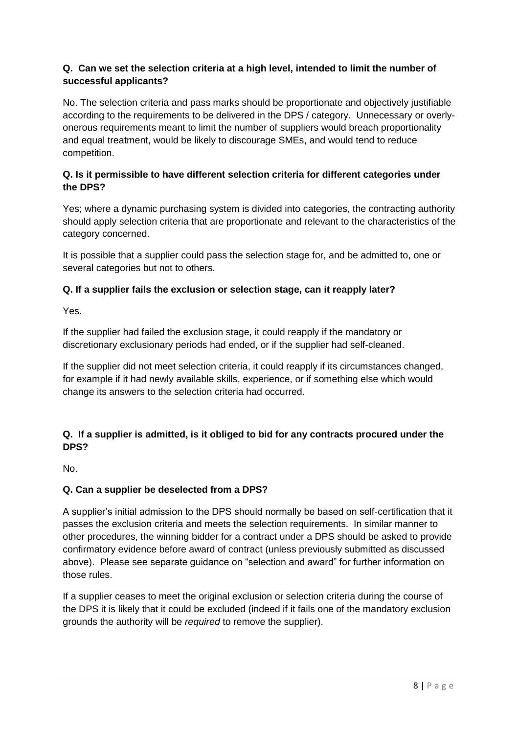# **Q. Can we set the selection criteria at a high level, intended to limit the number of successful applicants?**

No. The selection criteria and pass marks should be proportionate and objectively justifiable according to the requirements to be delivered in the DPS / category. Unnecessary or overlyonerous requirements meant to limit the number of suppliers would breach proportionality and equal treatment, would be likely to discourage SMEs, and would tend to reduce competition.

## **Q. Is it permissible to have different selection criteria for different categories under the DPS?**

Yes; where a dynamic purchasing system is divided into categories, the contracting authority should apply selection criteria that are proportionate and relevant to the characteristics of the category concerned.

It is possible that a supplier could pass the selection stage for, and be admitted to, one or several categories but not to others.

# **Q. If a supplier fails the exclusion or selection stage, can it reapply later?**

Yes.

If the supplier had failed the exclusion stage, it could reapply if the mandatory or discretionary exclusionary periods had ended, or if the supplier had self-cleaned.

If the supplier did not meet selection criteria, it could reapply if its circumstances changed, for example if it had newly available skills, experience, or if something else which would change its answers to the selection criteria had occurred.

# **Q. If a supplier is admitted, is it obliged to bid for any contracts procured under the DPS?**

No.

# **Q. Can a supplier be deselected from a DPS?**

A supplier's initial admission to the DPS should normally be based on self-certification that it passes the exclusion criteria and meets the selection requirements. In similar manner to other procedures, the winning bidder for a contract under a DPS should be asked to provide confirmatory evidence before award of contract (unless previously submitted as discussed above). Please see separate guidance on "selection and award" for further information on those rules.

If a supplier ceases to meet the original exclusion or selection criteria during the course of the DPS it is likely that it could be excluded (indeed if it fails one of the mandatory exclusion grounds the authority will be *required* to remove the supplier).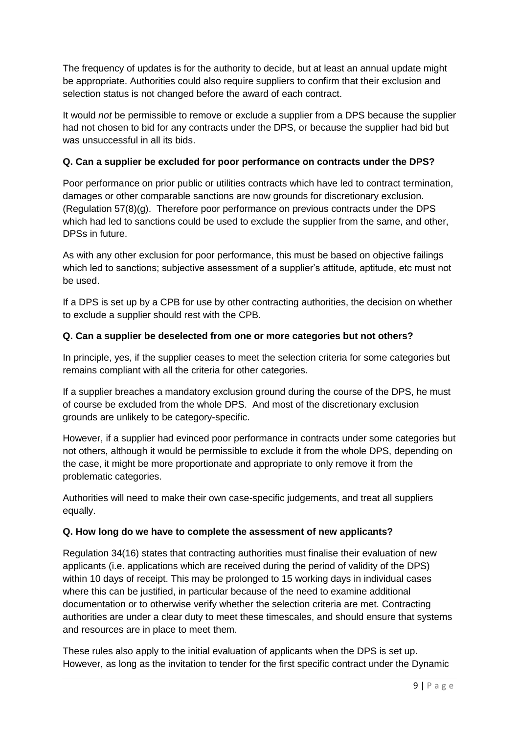The frequency of updates is for the authority to decide, but at least an annual update might be appropriate. Authorities could also require suppliers to confirm that their exclusion and selection status is not changed before the award of each contract.

It would *not* be permissible to remove or exclude a supplier from a DPS because the supplier had not chosen to bid for any contracts under the DPS, or because the supplier had bid but was unsuccessful in all its bids.

# **Q. Can a supplier be excluded for poor performance on contracts under the DPS?**

Poor performance on prior public or utilities contracts which have led to contract termination, damages or other comparable sanctions are now grounds for discretionary exclusion. (Regulation 57(8)(g). Therefore poor performance on previous contracts under the DPS which had led to sanctions could be used to exclude the supplier from the same, and other, DPSs in future.

As with any other exclusion for poor performance, this must be based on objective failings which led to sanctions; subjective assessment of a supplier's attitude, aptitude, etc must not be used.

If a DPS is set up by a CPB for use by other contracting authorities, the decision on whether to exclude a supplier should rest with the CPB.

## **Q. Can a supplier be deselected from one or more categories but not others?**

In principle, yes, if the supplier ceases to meet the selection criteria for some categories but remains compliant with all the criteria for other categories.

If a supplier breaches a mandatory exclusion ground during the course of the DPS, he must of course be excluded from the whole DPS. And most of the discretionary exclusion grounds are unlikely to be category-specific.

However, if a supplier had evinced poor performance in contracts under some categories but not others, although it would be permissible to exclude it from the whole DPS, depending on the case, it might be more proportionate and appropriate to only remove it from the problematic categories.

Authorities will need to make their own case-specific judgements, and treat all suppliers equally.

## **Q. How long do we have to complete the assessment of new applicants?**

Regulation 34(16) states that contracting authorities must finalise their evaluation of new applicants (i.e. applications which are received during the period of validity of the DPS) within 10 days of receipt. This may be prolonged to 15 working days in individual cases where this can be justified, in particular because of the need to examine additional documentation or to otherwise verify whether the selection criteria are met. Contracting authorities are under a clear duty to meet these timescales, and should ensure that systems and resources are in place to meet them.

These rules also apply to the initial evaluation of applicants when the DPS is set up. However, as long as the invitation to tender for the first specific contract under the Dynamic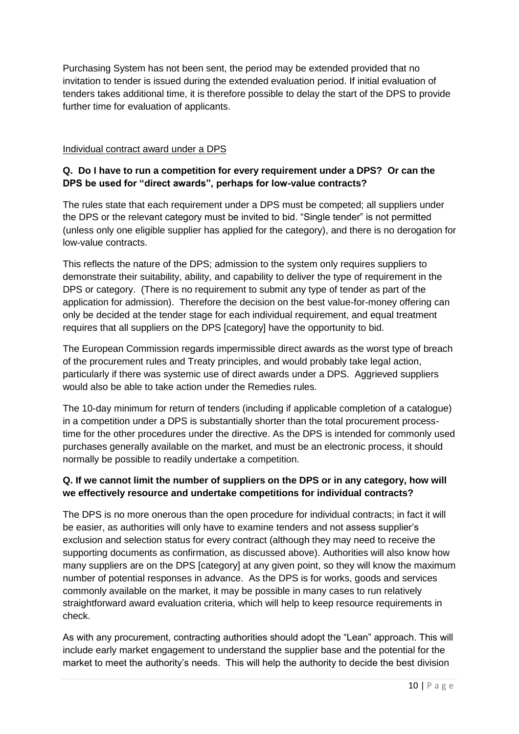Purchasing System has not been sent, the period may be extended provided that no invitation to tender is issued during the extended evaluation period. If initial evaluation of tenders takes additional time, it is therefore possible to delay the start of the DPS to provide further time for evaluation of applicants.

#### Individual contract award under a DPS

## **Q. Do I have to run a competition for every requirement under a DPS? Or can the DPS be used for "direct awards", perhaps for low-value contracts?**

The rules state that each requirement under a DPS must be competed; all suppliers under the DPS or the relevant category must be invited to bid. "Single tender" is not permitted (unless only one eligible supplier has applied for the category), and there is no derogation for low-value contracts.

This reflects the nature of the DPS; admission to the system only requires suppliers to demonstrate their suitability, ability, and capability to deliver the type of requirement in the DPS or category. (There is no requirement to submit any type of tender as part of the application for admission). Therefore the decision on the best value-for-money offering can only be decided at the tender stage for each individual requirement, and equal treatment requires that all suppliers on the DPS [category] have the opportunity to bid.

The European Commission regards impermissible direct awards as the worst type of breach of the procurement rules and Treaty principles, and would probably take legal action, particularly if there was systemic use of direct awards under a DPS. Aggrieved suppliers would also be able to take action under the Remedies rules.

The 10-day minimum for return of tenders (including if applicable completion of a catalogue) in a competition under a DPS is substantially shorter than the total procurement processtime for the other procedures under the directive. As the DPS is intended for commonly used purchases generally available on the market, and must be an electronic process, it should normally be possible to readily undertake a competition.

# **Q. If we cannot limit the number of suppliers on the DPS or in any category, how will we effectively resource and undertake competitions for individual contracts?**

The DPS is no more onerous than the open procedure for individual contracts; in fact it will be easier, as authorities will only have to examine tenders and not assess supplier's exclusion and selection status for every contract (although they may need to receive the supporting documents as confirmation, as discussed above). Authorities will also know how many suppliers are on the DPS [category] at any given point, so they will know the maximum number of potential responses in advance. As the DPS is for works, goods and services commonly available on the market, it may be possible in many cases to run relatively straightforward award evaluation criteria, which will help to keep resource requirements in check.

As with any procurement, contracting authorities should adopt the "Lean" approach. This will include early market engagement to understand the supplier base and the potential for the market to meet the authority's needs. This will help the authority to decide the best division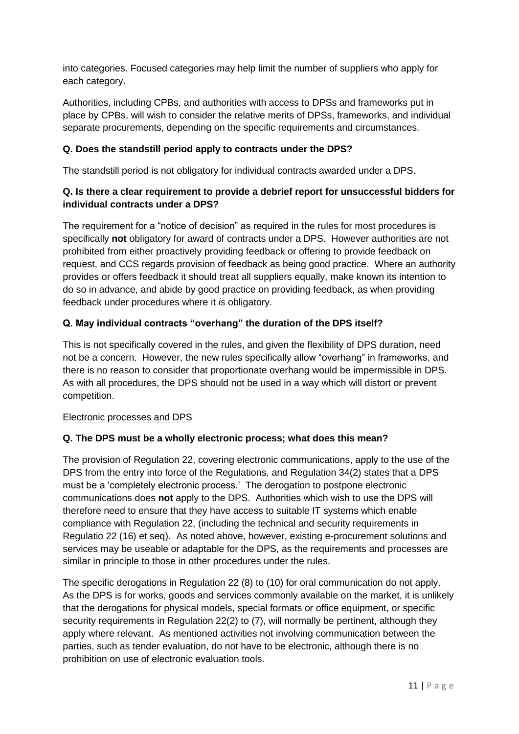into categories. Focused categories may help limit the number of suppliers who apply for each category.

Authorities, including CPBs, and authorities with access to DPSs and frameworks put in place by CPBs, will wish to consider the relative merits of DPSs, frameworks, and individual separate procurements, depending on the specific requirements and circumstances.

# **Q. Does the standstill period apply to contracts under the DPS?**

The standstill period is not obligatory for individual contracts awarded under a DPS.

## **Q. Is there a clear requirement to provide a debrief report for unsuccessful bidders for individual contracts under a DPS?**

The requirement for a "notice of decision" as required in the rules for most procedures is specifically **not** obligatory for award of contracts under a DPS. However authorities are not prohibited from either proactively providing feedback or offering to provide feedback on request, and CCS regards provision of feedback as being good practice. Where an authority provides or offers feedback it should treat all suppliers equally, make known its intention to do so in advance, and abide by good practice on providing feedback, as when providing feedback under procedures where it *is* obligatory.

# **Q. May individual contracts "overhang" the duration of the DPS itself?**

This is not specifically covered in the rules, and given the flexibility of DPS duration, need not be a concern. However, the new rules specifically allow "overhang" in frameworks, and there is no reason to consider that proportionate overhang would be impermissible in DPS. As with all procedures, the DPS should not be used in a way which will distort or prevent competition.

## Electronic processes and DPS

## **Q. The DPS must be a wholly electronic process; what does this mean?**

The provision of Regulation 22, covering electronic communications, apply to the use of the DPS from the entry into force of the Regulations, and Regulation 34(2) states that a DPS must be a 'completely electronic process.' The derogation to postpone electronic communications does **not** apply to the DPS. Authorities which wish to use the DPS will therefore need to ensure that they have access to suitable IT systems which enable compliance with Regulation 22, (including the technical and security requirements in Regulatio 22 (16) et seq). As noted above, however, existing e-procurement solutions and services may be useable or adaptable for the DPS, as the requirements and processes are similar in principle to those in other procedures under the rules.

The specific derogations in Regulation 22 (8) to (10) for oral communication do not apply. As the DPS is for works, goods and services commonly available on the market, it is unlikely that the derogations for physical models, special formats or office equipment, or specific security requirements in Regulation 22(2) to (7), will normally be pertinent, although they apply where relevant. As mentioned activities not involving communication between the parties, such as tender evaluation, do not have to be electronic, although there is no prohibition on use of electronic evaluation tools.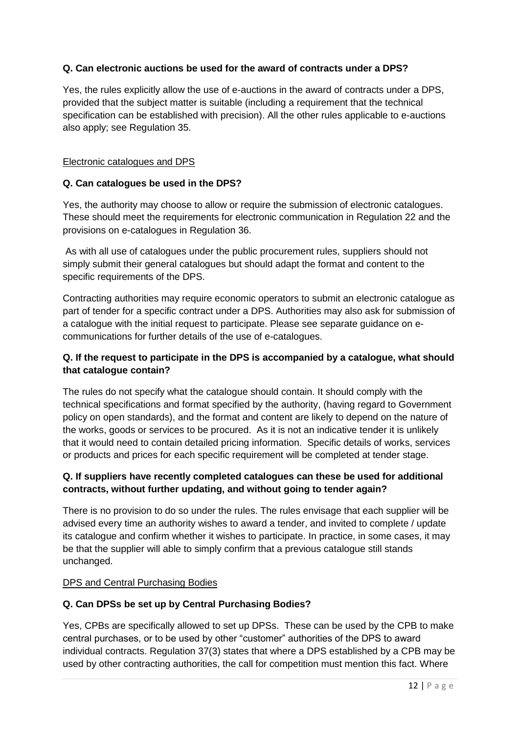# **Q. Can electronic auctions be used for the award of contracts under a DPS?**

Yes, the rules explicitly allow the use of e-auctions in the award of contracts under a DPS, provided that the subject matter is suitable (including a requirement that the technical specification can be established with precision). All the other rules applicable to e-auctions also apply; see Regulation 35.

#### Electronic catalogues and DPS

#### **Q. Can catalogues be used in the DPS?**

Yes, the authority may choose to allow or require the submission of electronic catalogues. These should meet the requirements for electronic communication in Regulation 22 and the provisions on e-catalogues in Regulation 36.

As with all use of catalogues under the public procurement rules, suppliers should not simply submit their general catalogues but should adapt the format and content to the specific requirements of the DPS.

Contracting authorities may require economic operators to submit an electronic catalogue as part of tender for a specific contract under a DPS. Authorities may also ask for submission of a catalogue with the initial request to participate. Please see separate guidance on ecommunications for further details of the use of e-catalogues.

# **Q. If the request to participate in the DPS is accompanied by a catalogue, what should that catalogue contain?**

The rules do not specify what the catalogue should contain. It should comply with the technical specifications and format specified by the authority, (having regard to Government policy on open standards), and the format and content are likely to depend on the nature of the works, goods or services to be procured. As it is not an indicative tender it is unlikely that it would need to contain detailed pricing information. Specific details of works, services or products and prices for each specific requirement will be completed at tender stage.

## **Q. If suppliers have recently completed catalogues can these be used for additional contracts, without further updating, and without going to tender again?**

There is no provision to do so under the rules. The rules envisage that each supplier will be advised every time an authority wishes to award a tender, and invited to complete / update its catalogue and confirm whether it wishes to participate. In practice, in some cases, it may be that the supplier will able to simply confirm that a previous catalogue still stands unchanged.

#### DPS and Central Purchasing Bodies

## **Q. Can DPSs be set up by Central Purchasing Bodies?**

Yes, CPBs are specifically allowed to set up DPSs. These can be used by the CPB to make central purchases, or to be used by other "customer" authorities of the DPS to award individual contracts. Regulation 37(3) states that where a DPS established by a CPB may be used by other contracting authorities, the call for competition must mention this fact. Where